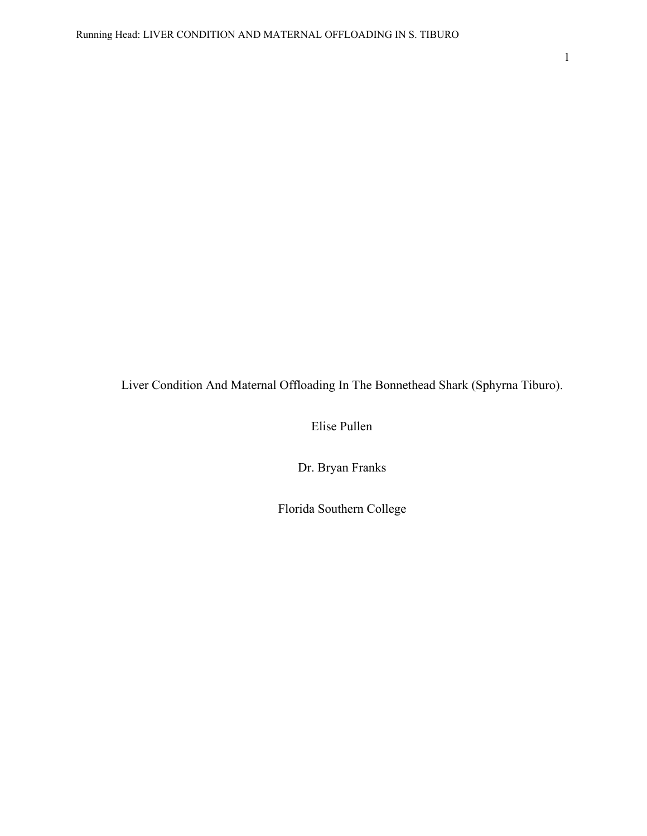Liver Condition And Maternal Offloading In The Bonnethead Shark (Sphyrna Tiburo).

Elise Pullen

Dr. Bryan Franks

Florida Southern College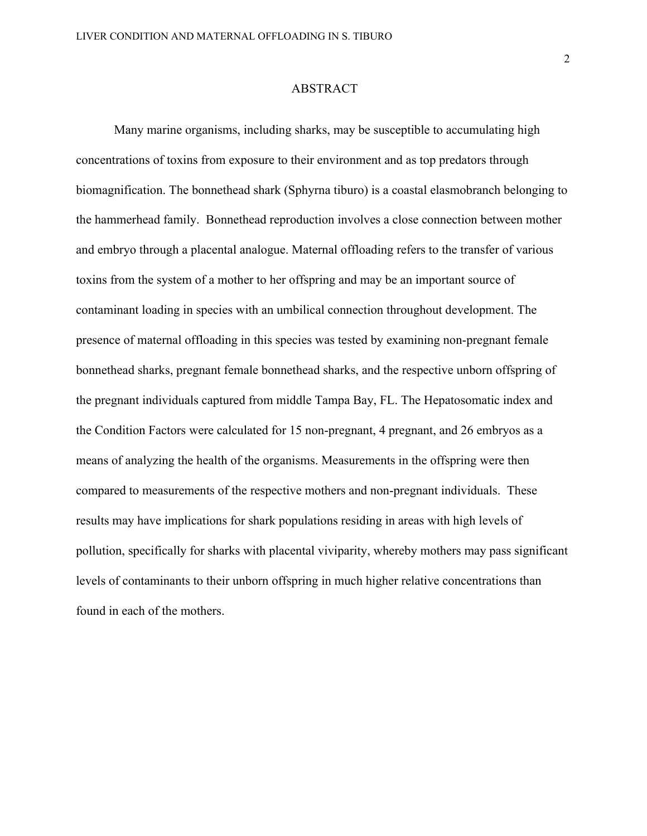## ABSTRACT

Many marine organisms, including sharks, may be susceptible to accumulating high concentrations of toxins from exposure to their environment and as top predators through biomagnification. The bonnethead shark (Sphyrna tiburo) is a coastal elasmobranch belonging to the hammerhead family. Bonnethead reproduction involves a close connection between mother and embryo through a placental analogue. Maternal offloading refers to the transfer of various toxins from the system of a mother to her offspring and may be an important source of contaminant loading in species with an umbilical connection throughout development. The presence of maternal offloading in this species was tested by examining non-pregnant female bonnethead sharks, pregnant female bonnethead sharks, and the respective unborn offspring of the pregnant individuals captured from middle Tampa Bay, FL. The Hepatosomatic index and the Condition Factors were calculated for 15 non-pregnant, 4 pregnant, and 26 embryos as a means of analyzing the health of the organisms. Measurements in the offspring were then compared to measurements of the respective mothers and non-pregnant individuals. These results may have implications for shark populations residing in areas with high levels of pollution, specifically for sharks with placental viviparity, whereby mothers may pass significant levels of contaminants to their unborn offspring in much higher relative concentrations than found in each of the mothers.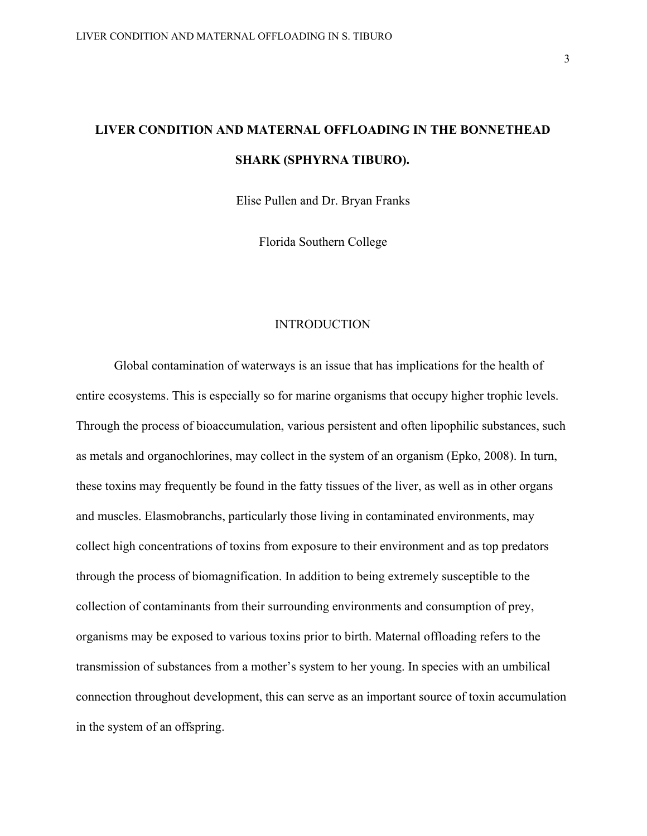Elise Pullen and Dr. Bryan Franks

Florida Southern College

## **INTRODUCTION**

Global contamination of waterways is an issue that has implications for the health of entire ecosystems. This is especially so for marine organisms that occupy higher trophic levels. Through the process of bioaccumulation, various persistent and often lipophilic substances, such as metals and organochlorines, may collect in the system of an organism (Epko, 2008). In turn, these toxins may frequently be found in the fatty tissues of the liver, as well as in other organs and muscles. Elasmobranchs, particularly those living in contaminated environments, may collect high concentrations of toxins from exposure to their environment and as top predators through the process of biomagnification. In addition to being extremely susceptible to the collection of contaminants from their surrounding environments and consumption of prey, organisms may be exposed to various toxins prior to birth. Maternal offloading refers to the transmission of substances from a mother's system to her young. In species with an umbilical connection throughout development, this can serve as an important source of toxin accumulation in the system of an offspring.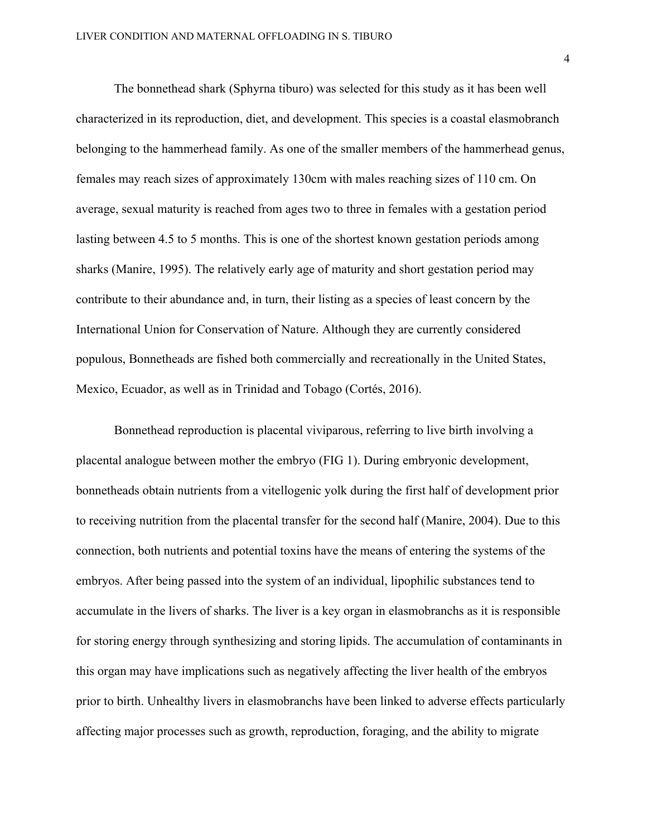The bonnethead shark (Sphyrna tiburo) was selected for this study as it has been well characterized in its reproduction, diet, and development. This species is a coastal elasmobranch belonging to the hammerhead family. As one of the smaller members of the hammerhead genus, females may reach sizes of approximately 130cm with males reaching sizes of 110 cm. On average, sexual maturity is reached from ages two to three in females with a gestation period lasting between 4.5 to 5 months. This is one of the shortest known gestation periods among sharks (Manire, 1995). The relatively early age of maturity and short gestation period may contribute to their abundance and, in turn, their listing as a species of least concern by the International Union for Conservation of Nature. Although they are currently considered populous, Bonnetheads are fished both commercially and recreationally in the United States, Mexico, Ecuador, as well as in Trinidad and Tobago (Cortés, 2016).

Bonnethead reproduction is placental viviparous, referring to live birth involving a placental analogue between mother the embryo (FIG 1). During embryonic development, bonnetheads obtain nutrients from a vitellogenic yolk during the first half of development prior to receiving nutrition from the placental transfer for the second half (Manire, 2004). Due to this connection, both nutrients and potential toxins have the means of entering the systems of the embryos. After being passed into the system of an individual, lipophilic substances tend to accumulate in the livers of sharks. The liver is a key organ in elasmobranchs as it is responsible for storing energy through synthesizing and storing lipids. The accumulation of contaminants in this organ may have implications such as negatively affecting the liver health of the embryos prior to birth. Unhealthy livers in elasmobranchs have been linked to adverse effects particularly affecting major processes such as growth, reproduction, foraging, and the ability to migrate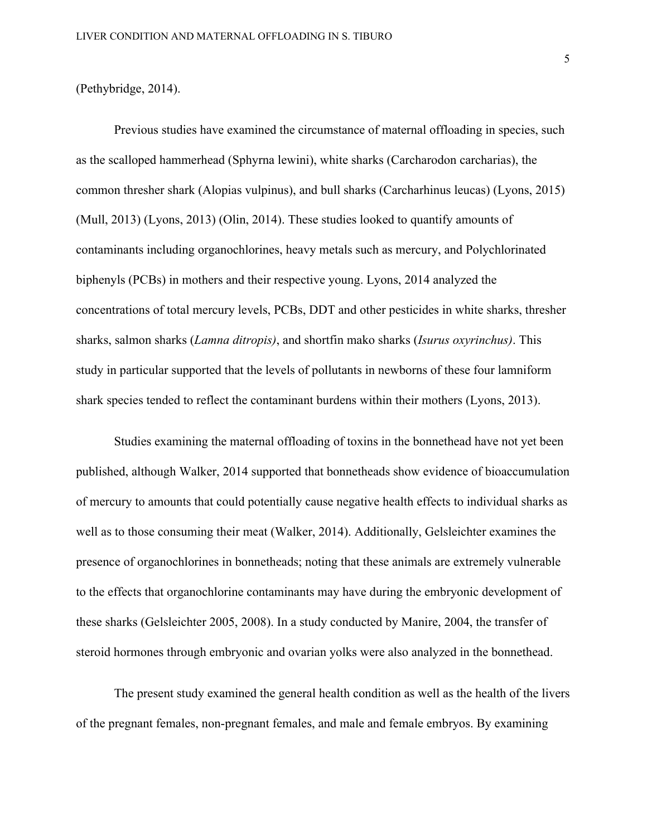#### (Pethybridge, 2014).

Previous studies have examined the circumstance of maternal offloading in species, such as the scalloped hammerhead (Sphyrna lewini), white sharks (Carcharodon carcharias), the common thresher shark (Alopias vulpinus), and bull sharks (Carcharhinus leucas) (Lyons, 2015) (Mull, 2013) (Lyons, 2013) (Olin, 2014). These studies looked to quantify amounts of contaminants including organochlorines, heavy metals such as mercury, and Polychlorinated biphenyls (PCBs) in mothers and their respective young. Lyons, 2014 analyzed the concentrations of total mercury levels, PCBs, DDT and other pesticides in white sharks, thresher sharks, salmon sharks (*Lamna ditropis)*, and shortfin mako sharks (*Isurus oxyrinchus)*. This study in particular supported that the levels of pollutants in newborns of these four lamniform shark species tended to reflect the contaminant burdens within their mothers (Lyons, 2013).

Studies examining the maternal offloading of toxins in the bonnethead have not yet been published, although Walker, 2014 supported that bonnetheads show evidence of bioaccumulation of mercury to amounts that could potentially cause negative health effects to individual sharks as well as to those consuming their meat (Walker, 2014). Additionally, Gelsleichter examines the presence of organochlorines in bonnetheads; noting that these animals are extremely vulnerable to the effects that organochlorine contaminants may have during the embryonic development of these sharks (Gelsleichter 2005, 2008). In a study conducted by Manire, 2004, the transfer of steroid hormones through embryonic and ovarian yolks were also analyzed in the bonnethead.

The present study examined the general health condition as well as the health of the livers of the pregnant females, non-pregnant females, and male and female embryos. By examining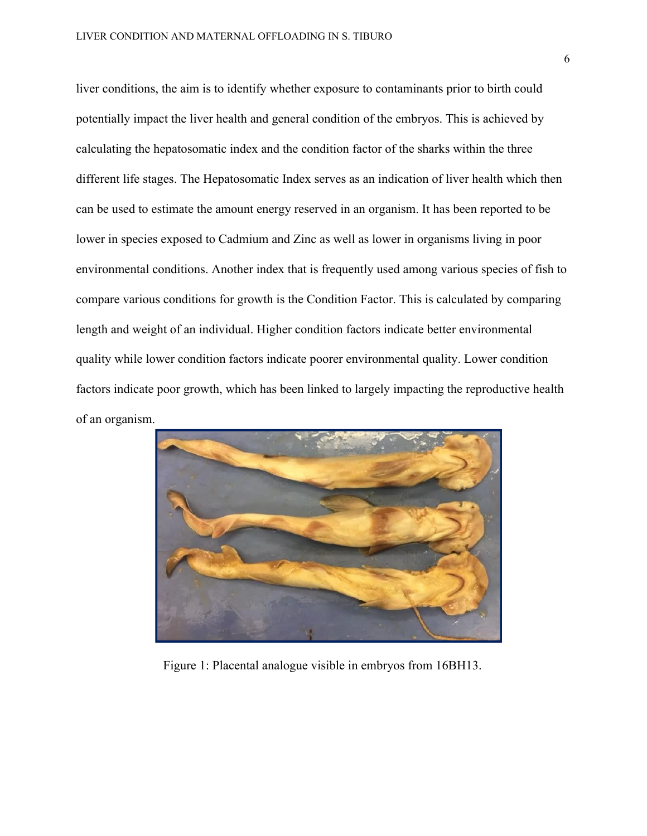liver conditions, the aim is to identify whether exposure to contaminants prior to birth could potentially impact the liver health and general condition of the embryos. This is achieved by calculating the hepatosomatic index and the condition factor of the sharks within the three different life stages. The Hepatosomatic Index serves as an indication of liver health which then can be used to estimate the amount energy reserved in an organism. It has been reported to be lower in species exposed to Cadmium and Zinc as well as lower in organisms living in poor environmental conditions. Another index that is frequently used among various species of fish to compare various conditions for growth is the Condition Factor. This is calculated by comparing length and weight of an individual. Higher condition factors indicate better environmental quality while lower condition factors indicate poorer environmental quality. Lower condition factors indicate poor growth, which has been linked to largely impacting the reproductive health of an organism.



Figure 1: Placental analogue visible in embryos from 16BH13.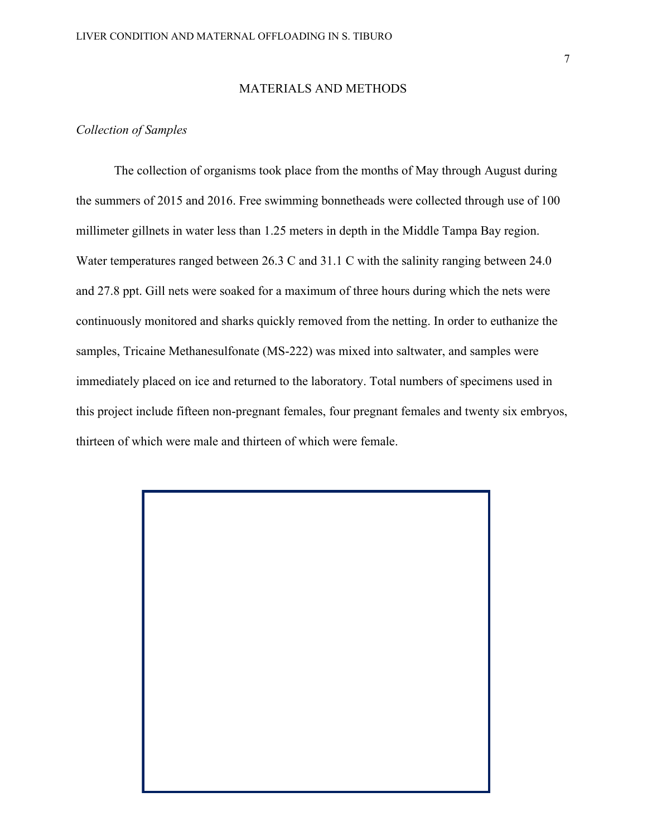### MATERIALS AND METHODS

## *Collection of Samples*

The collection of organisms took place from the months of May through August during the summers of 2015 and 2016. Free swimming bonnetheads were collected through use of 100 millimeter gillnets in water less than 1.25 meters in depth in the Middle Tampa Bay region. Water temperatures ranged between 26.3 C and 31.1 C with the salinity ranging between 24.0 and 27.8 ppt. Gill nets were soaked for a maximum of three hours during which the nets were continuously monitored and sharks quickly removed from the netting. In order to euthanize the samples, Tricaine Methanesulfonate (MS-222) was mixed into saltwater, and samples were immediately placed on ice and returned to the laboratory. Total numbers of specimens used in this project include fifteen non-pregnant females, four pregnant females and twenty six embryos, thirteen of which were male and thirteen of which were female.

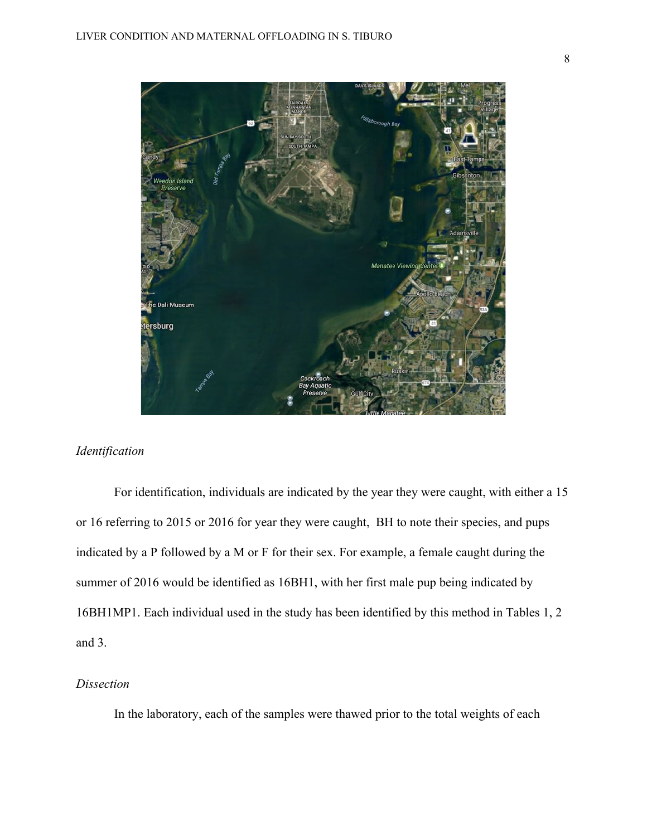

## *Identification*

For identification, individuals are indicated by the year they were caught, with either a 15 or 16 referring to 2015 or 2016 for year they were caught, BH to note their species, and pups indicated by a P followed by a M or F for their sex. For example, a female caught during the summer of 2016 would be identified as 16BH1, with her first male pup being indicated by 16BH1MP1. Each individual used in the study has been identified by this method in Tables 1, 2 and 3.

### *Dissection*

In the laboratory, each of the samples were thawed prior to the total weights of each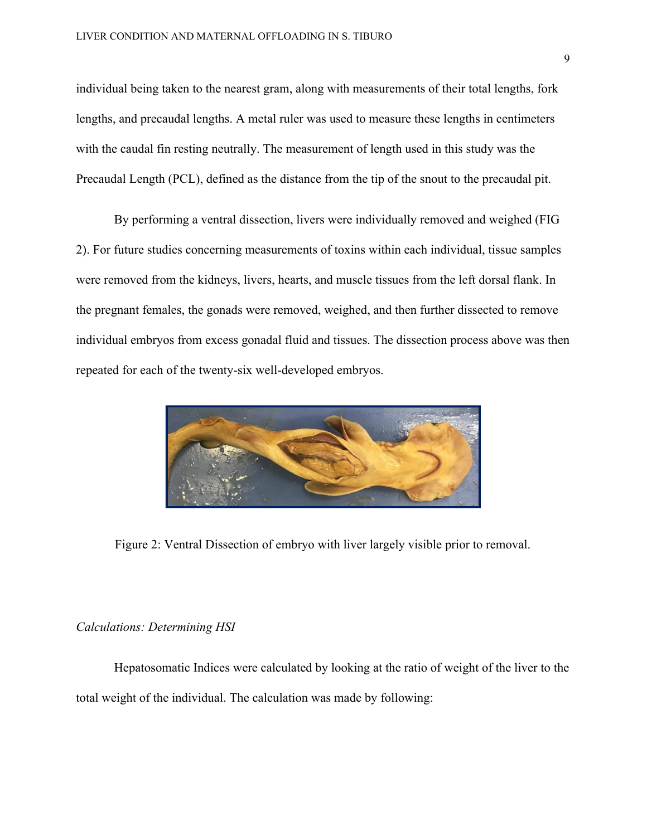individual being taken to the nearest gram, along with measurements of their total lengths, fork lengths, and precaudal lengths. A metal ruler was used to measure these lengths in centimeters with the caudal fin resting neutrally. The measurement of length used in this study was the Precaudal Length (PCL), defined as the distance from the tip of the snout to the precaudal pit.

By performing a ventral dissection, livers were individually removed and weighed (FIG 2). For future studies concerning measurements of toxins within each individual, tissue samples were removed from the kidneys, livers, hearts, and muscle tissues from the left dorsal flank. In the pregnant females, the gonads were removed, weighed, and then further dissected to remove individual embryos from excess gonadal fluid and tissues. The dissection process above was then repeated for each of the twenty-six well-developed embryos.



Figure 2: Ventral Dissection of embryo with liver largely visible prior to removal.

## *Calculations: Determining HSI*

Hepatosomatic Indices were calculated by looking at the ratio of weight of the liver to the total weight of the individual. The calculation was made by following: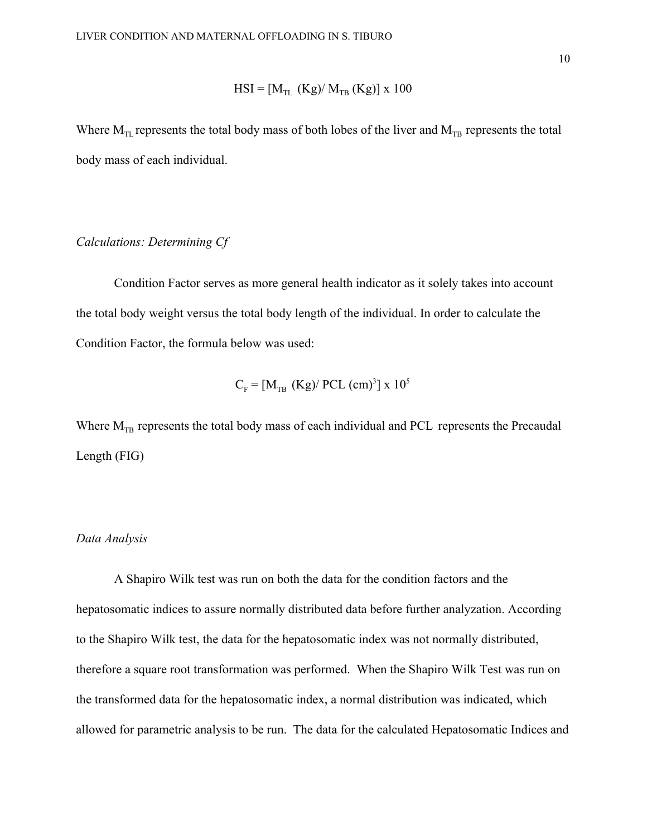$$
HSI = [M_{TL} (Kg)/ M_{TB} (Kg)] \times 100
$$

Where  $M_{TL}$  represents the total body mass of both lobes of the liver and  $M_{TB}$  represents the total body mass of each individual.

### *Calculations: Determining Cf*

Condition Factor serves as more general health indicator as it solely takes into account the total body weight versus the total body length of the individual. In order to calculate the Condition Factor, the formula below was used:

$$
C_{\rm F} = [M_{\rm TB} \ (Kg)/\text{PCL} \ (cm)^3] \times 10^5
$$

Where  $M_{TB}$  represents the total body mass of each individual and PCL represents the Precaudal Length (FIG)

#### *Data Analysis*

A Shapiro Wilk test was run on both the data for the condition factors and the hepatosomatic indices to assure normally distributed data before further analyzation. According to the Shapiro Wilk test, the data for the hepatosomatic index was not normally distributed, therefore a square root transformation was performed. When the Shapiro Wilk Test was run on the transformed data for the hepatosomatic index, a normal distribution was indicated, which allowed for parametric analysis to be run. The data for the calculated Hepatosomatic Indices and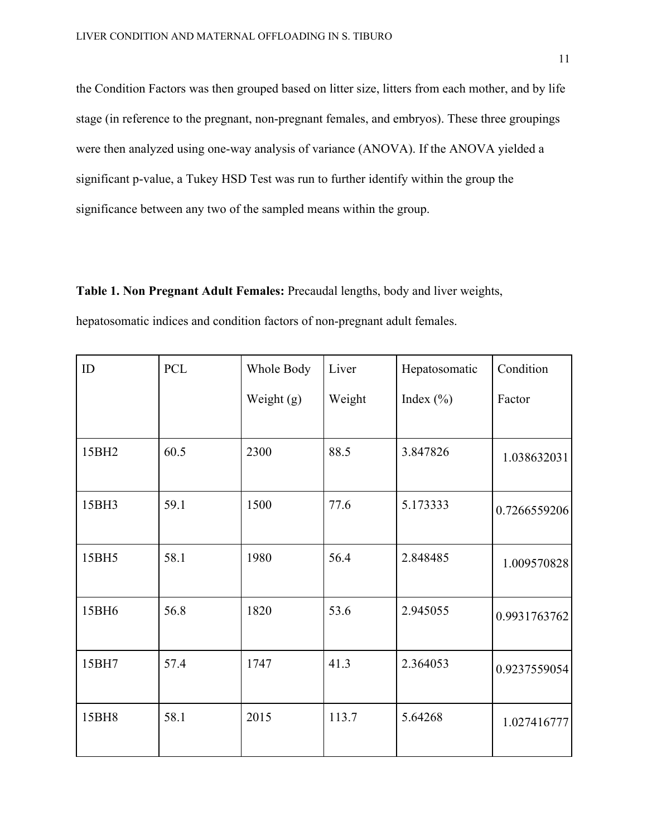the Condition Factors was then grouped based on litter size, litters from each mother, and by life stage (in reference to the pregnant, non-pregnant females, and embryos). These three groupings were then analyzed using one-way analysis of variance (ANOVA). If the ANOVA yielded a significant p-value, a Tukey HSD Test was run to further identify within the group the significance between any two of the sampled means within the group.

**Table 1. Non Pregnant Adult Females:** Precaudal lengths, body and liver weights, hepatosomatic indices and condition factors of non-pregnant adult females.

| ID    | <b>PCL</b> | Whole Body   | Liver  | Hepatosomatic | Condition    |
|-------|------------|--------------|--------|---------------|--------------|
|       |            | Weight $(g)$ | Weight | Index $(\% )$ | Factor       |
|       |            |              |        |               |              |
| 15BH2 | 60.5       | 2300         | 88.5   | 3.847826      | 1.038632031  |
| 15BH3 | 59.1       | 1500         | 77.6   | 5.173333      | 0.7266559206 |
| 15BH5 | 58.1       | 1980         | 56.4   | 2.848485      | 1.009570828  |
| 15BH6 | 56.8       | 1820         | 53.6   | 2.945055      | 0.9931763762 |
| 15BH7 | 57.4       | 1747         | 41.3   | 2.364053      | 0.9237559054 |
| 15BH8 | 58.1       | 2015         | 113.7  | 5.64268       | 1.027416777  |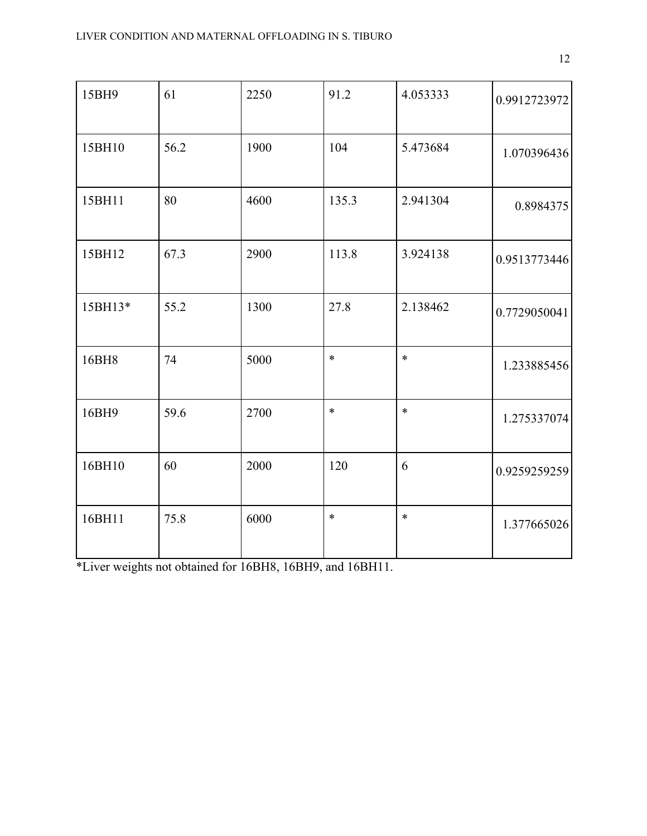| 15BH9   | 61   | 2250 | 91.2   | 4.053333 | 0.9912723972 |
|---------|------|------|--------|----------|--------------|
| 15BH10  | 56.2 | 1900 | 104    | 5.473684 | 1.070396436  |
| 15BH11  | 80   | 4600 | 135.3  | 2.941304 | 0.8984375    |
| 15BH12  | 67.3 | 2900 | 113.8  | 3.924138 | 0.9513773446 |
| 15BH13* | 55.2 | 1300 | 27.8   | 2.138462 | 0.7729050041 |
| 16BH8   | 74   | 5000 | $\ast$ | $\ast$   | 1.233885456  |
| 16BH9   | 59.6 | 2700 | $\ast$ | $\ast$   | 1.275337074  |
| 16BH10  | 60   | 2000 | 120    | 6        | 0.9259259259 |
| 16BH11  | 75.8 | 6000 | $\ast$ | $\ast$   | 1.377665026  |

\*Liver weights not obtained for 16BH8, 16BH9, and 16BH11.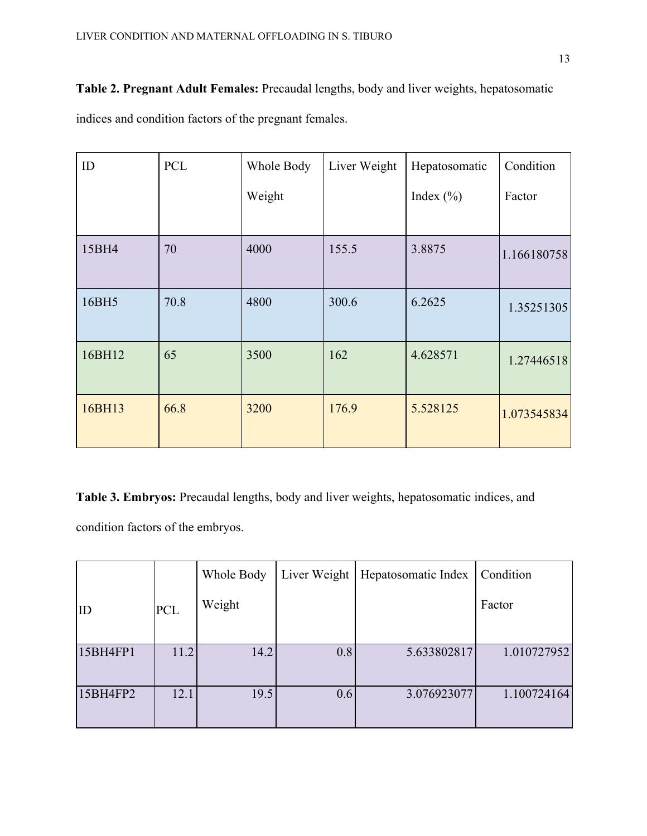**Table 2. Pregnant Adult Females:** Precaudal lengths, body and liver weights, hepatosomatic indices and condition factors of the pregnant females.

| ID     | <b>PCL</b> | Whole Body | Liver Weight | Hepatosomatic | Condition   |
|--------|------------|------------|--------------|---------------|-------------|
|        |            | Weight     |              | Index $(\% )$ | Factor      |
|        |            |            |              |               |             |
| 15BH4  | 70         | 4000       | 155.5        | 3.8875        | 1.166180758 |
| 16BH5  | 70.8       | 4800       | 300.6        | 6.2625        | 1.35251305  |
| 16BH12 | 65         | 3500       | 162          | 4.628571      | 1.27446518  |
| 16BH13 | 66.8       | 3200       | 176.9        | 5.528125      | 1.073545834 |

**Table 3. Embryos:** Precaudal lengths, body and liver weights, hepatosomatic indices, and condition factors of the embryos.

|          |            | Whole Body | Liver Weight | Hepatosomatic Index | Condition   |
|----------|------------|------------|--------------|---------------------|-------------|
| ID       | <b>PCL</b> | Weight     |              |                     | Factor      |
|          |            |            |              |                     |             |
| 15BH4FP1 | 11.2       | 14.2       | 0.8          | 5.633802817         | 1.010727952 |
|          |            |            |              |                     |             |
| 15BH4FP2 | 12.1       | 19.5       | 0.6          | 3.076923077         | 1.100724164 |
|          |            |            |              |                     |             |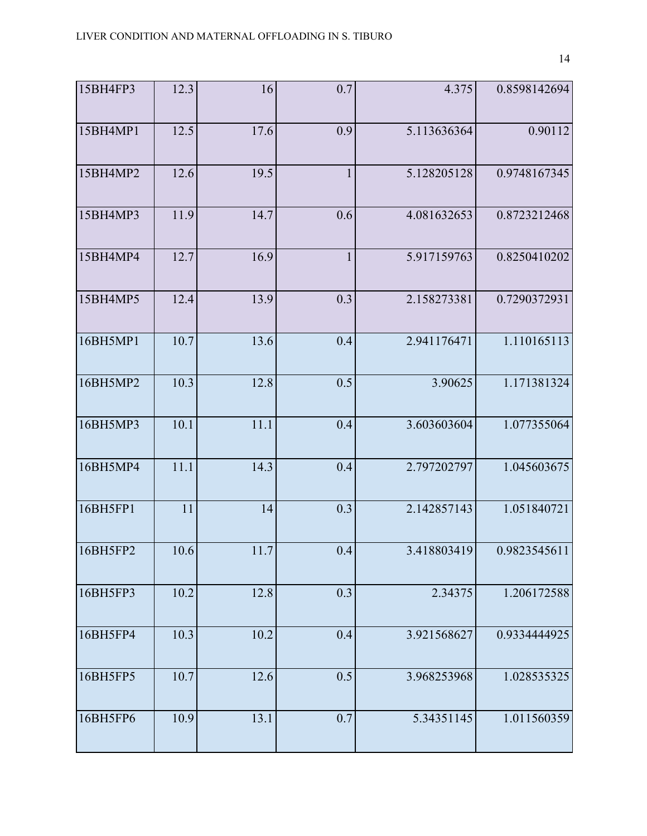| 15BH4FP3 | 12.3 | 16   | 0.7          | 4.375       | 0.8598142694 |
|----------|------|------|--------------|-------------|--------------|
| 15BH4MP1 | 12.5 | 17.6 | 0.9          | 5.113636364 | 0.90112      |
| 15BH4MP2 | 12.6 | 19.5 | $\mathbf{1}$ | 5.128205128 | 0.9748167345 |
| 15BH4MP3 | 11.9 | 14.7 | 0.6          | 4.081632653 | 0.8723212468 |
| 15BH4MP4 | 12.7 | 16.9 | $\mathbf{1}$ | 5.917159763 | 0.8250410202 |
| 15BH4MP5 | 12.4 | 13.9 | 0.3          | 2.158273381 | 0.7290372931 |
| 16BH5MP1 | 10.7 | 13.6 | 0.4          | 2.941176471 | 1.110165113  |
| 16BH5MP2 | 10.3 | 12.8 | 0.5          | 3.90625     | 1.171381324  |
| 16BH5MP3 | 10.1 | 11.1 | 0.4          | 3.603603604 | 1.077355064  |
| 16BH5MP4 | 11.1 | 14.3 | 0.4          | 2.797202797 | 1.045603675  |
| 16BH5FP1 | 11   | 14   | 0.3          | 2.142857143 | 1.051840721  |
| 16BH5FP2 | 10.6 | 11.7 | 0.4          | 3.418803419 | 0.9823545611 |
| 16BH5FP3 | 10.2 | 12.8 | 0.3          | 2.34375     | 1.206172588  |
| 16BH5FP4 | 10.3 | 10.2 | 0.4          | 3.921568627 | 0.9334444925 |
| 16BH5FP5 | 10.7 | 12.6 | 0.5          | 3.968253968 | 1.028535325  |
| 16BH5FP6 | 10.9 | 13.1 | 0.7          | 5.34351145  | 1.011560359  |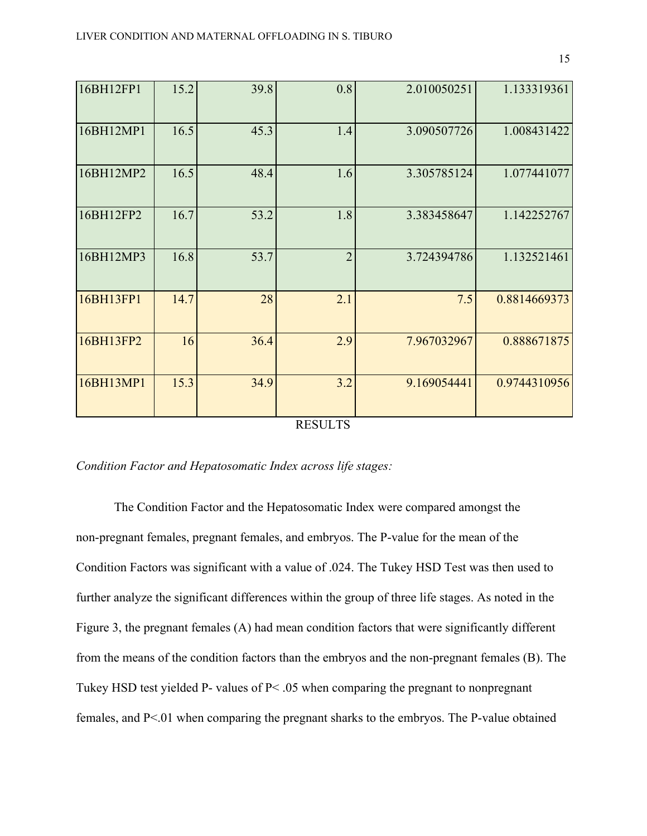| 16.5<br>45.3<br>16BH12MP1<br>1.4<br>3.090507726<br>16.5<br>48.4<br>16BH12MP2<br>1.6<br>3.305785124<br>16.7<br>1.8<br>53.2<br>16BH12FP2<br>3.383458647<br>$\overline{2}$<br>16.8<br>53.7<br>16BH12MP3<br>1.132521461<br>3.724394786<br>16BH13FP1<br>14.7<br>28<br>2.1<br>7.5<br>16BH13FP2<br>16<br>36.4<br>2.9<br>7.967032967<br>15.3<br>3.2<br>16BH13MP1<br>34.9<br>9.169054441 | 16BH12FP1 | 15.2 | 39.8 | 0.8 | 2.010050251 | 1.133319361  |
|---------------------------------------------------------------------------------------------------------------------------------------------------------------------------------------------------------------------------------------------------------------------------------------------------------------------------------------------------------------------------------|-----------|------|------|-----|-------------|--------------|
|                                                                                                                                                                                                                                                                                                                                                                                 |           |      |      |     |             | 1.008431422  |
|                                                                                                                                                                                                                                                                                                                                                                                 |           |      |      |     |             | 1.077441077  |
|                                                                                                                                                                                                                                                                                                                                                                                 |           |      |      |     |             | 1.142252767  |
|                                                                                                                                                                                                                                                                                                                                                                                 |           |      |      |     |             |              |
|                                                                                                                                                                                                                                                                                                                                                                                 |           |      |      |     |             | 0.8814669373 |
|                                                                                                                                                                                                                                                                                                                                                                                 |           |      |      |     |             | 0.888671875  |
|                                                                                                                                                                                                                                                                                                                                                                                 |           |      |      |     |             | 0.9744310956 |

#### RESULTS

## *Condition Factor and Hepatosomatic Index across life stages:*

The Condition Factor and the Hepatosomatic Index were compared amongst the non-pregnant females, pregnant females, and embryos. The P-value for the mean of the Condition Factors was significant with a value of .024. The Tukey HSD Test was then used to further analyze the significant differences within the group of three life stages. As noted in the Figure 3, the pregnant females (A) had mean condition factors that were significantly different from the means of the condition factors than the embryos and the non-pregnant females (B). The Tukey HSD test yielded P- values of P< .05 when comparing the pregnant to nonpregnant females, and P<.01 when comparing the pregnant sharks to the embryos. The P-value obtained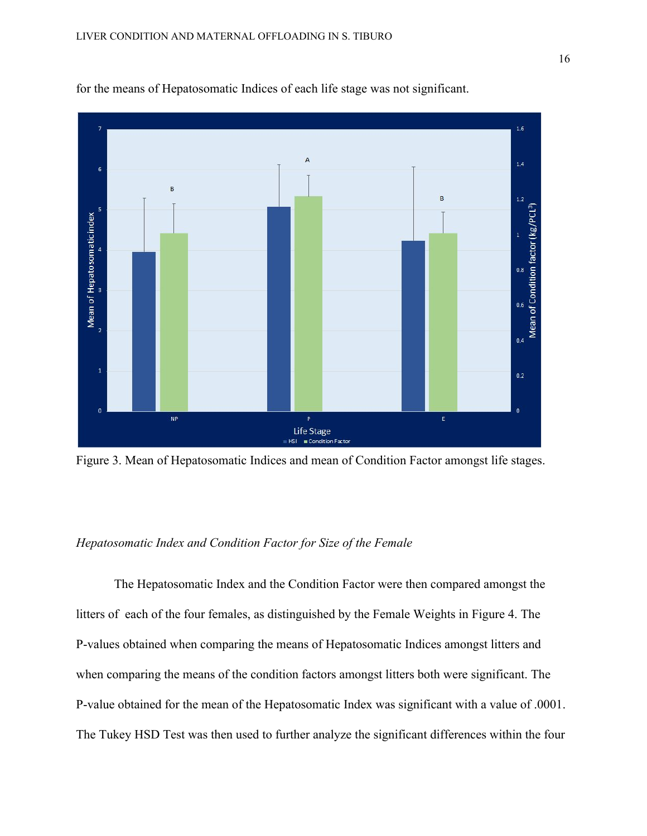

for the means of Hepatosomatic Indices of each life stage was not significant.

Figure 3. Mean of Hepatosomatic Indices and mean of Condition Factor amongst life stages.

# *Hepatosomatic Index and Condition Factor for Size of the Female*

The Hepatosomatic Index and the Condition Factor were then compared amongst the litters of each of the four females, as distinguished by the Female Weights in Figure 4. The P-values obtained when comparing the means of Hepatosomatic Indices amongst litters and when comparing the means of the condition factors amongst litters both were significant. The P-value obtained for the mean of the Hepatosomatic Index was significant with a value of .0001. The Tukey HSD Test was then used to further analyze the significant differences within the four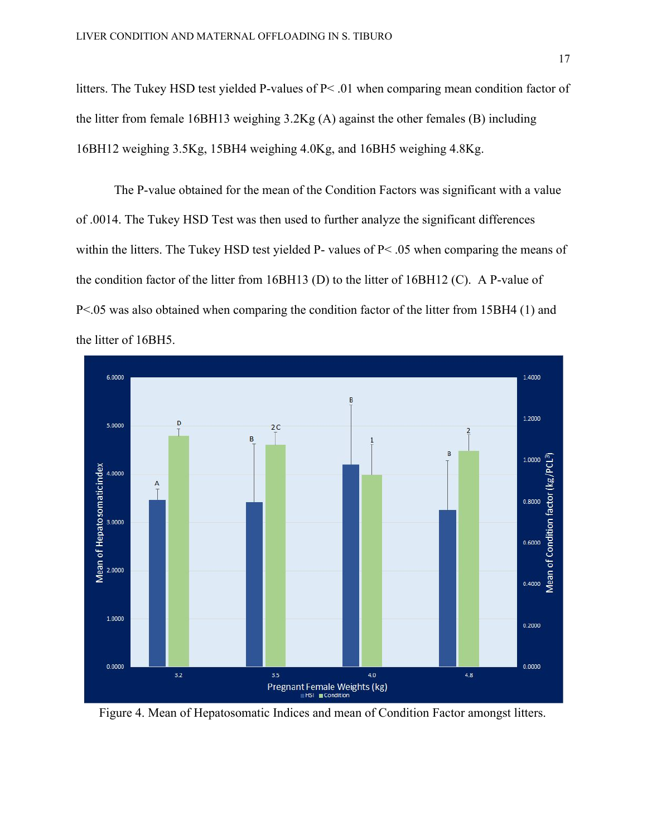litters. The Tukey HSD test yielded P-values of P< .01 when comparing mean condition factor of the litter from female 16BH13 weighing 3.2Kg (A) against the other females (B) including 16BH12 weighing 3.5Kg, 15BH4 weighing 4.0Kg, and 16BH5 weighing 4.8Kg.

The P-value obtained for the mean of the Condition Factors was significant with a value of .0014. The Tukey HSD Test was then used to further analyze the significant differences within the litters. The Tukey HSD test yielded P- values of P< .05 when comparing the means of the condition factor of the litter from 16BH13 (D) to the litter of 16BH12 (C). A P-value of P<.05 was also obtained when comparing the condition factor of the litter from 15BH4 (1) and the litter of 16BH5.



Figure 4. Mean of Hepatosomatic Indices and mean of Condition Factor amongst litters.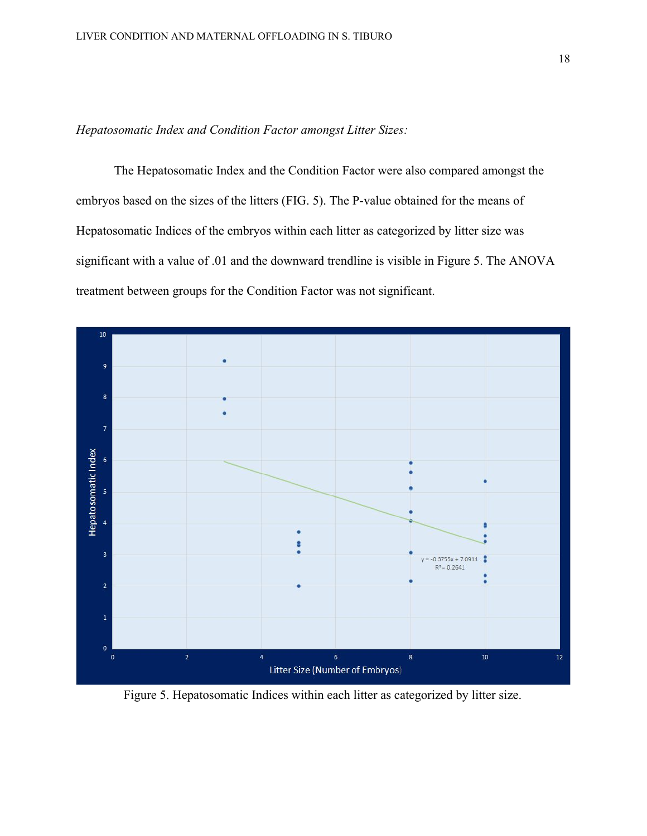*Hepatosomatic Index and Condition Factor amongst Litter Sizes:*

The Hepatosomatic Index and the Condition Factor were also compared amongst the embryos based on the sizes of the litters (FIG. 5). The P-value obtained for the means of Hepatosomatic Indices of the embryos within each litter as categorized by litter size was significant with a value of .01 and the downward trendline is visible in Figure 5. The ANOVA treatment between groups for the Condition Factor was not significant.



Figure 5. Hepatosomatic Indices within each litter as categorized by litter size.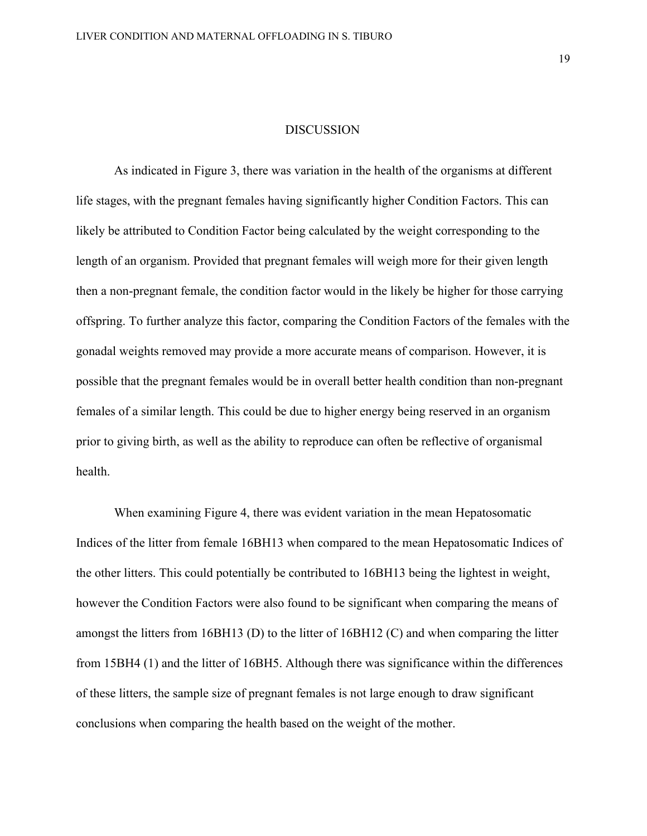#### DISCUSSION

As indicated in Figure 3, there was variation in the health of the organisms at different life stages, with the pregnant females having significantly higher Condition Factors. This can likely be attributed to Condition Factor being calculated by the weight corresponding to the length of an organism. Provided that pregnant females will weigh more for their given length then a non-pregnant female, the condition factor would in the likely be higher for those carrying offspring. To further analyze this factor, comparing the Condition Factors of the females with the gonadal weights removed may provide a more accurate means of comparison. However, it is possible that the pregnant females would be in overall better health condition than non-pregnant females of a similar length. This could be due to higher energy being reserved in an organism prior to giving birth, as well as the ability to reproduce can often be reflective of organismal health.

When examining Figure 4, there was evident variation in the mean Hepatosomatic Indices of the litter from female 16BH13 when compared to the mean Hepatosomatic Indices of the other litters. This could potentially be contributed to 16BH13 being the lightest in weight, however the Condition Factors were also found to be significant when comparing the means of amongst the litters from 16BH13 (D) to the litter of 16BH12 (C) and when comparing the litter from 15BH4 (1) and the litter of 16BH5. Although there was significance within the differences of these litters, the sample size of pregnant females is not large enough to draw significant conclusions when comparing the health based on the weight of the mother.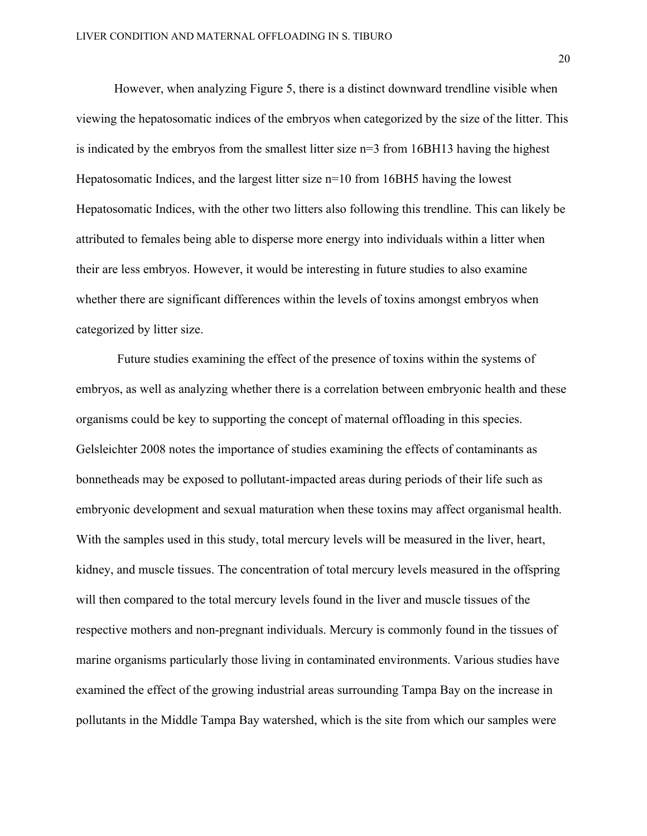However, when analyzing Figure 5, there is a distinct downward trendline visible when viewing the hepatosomatic indices of the embryos when categorized by the size of the litter. This is indicated by the embryos from the smallest litter size n=3 from 16BH13 having the highest Hepatosomatic Indices, and the largest litter size n=10 from 16BH5 having the lowest Hepatosomatic Indices, with the other two litters also following this trendline. This can likely be attributed to females being able to disperse more energy into individuals within a litter when their are less embryos. However, it would be interesting in future studies to also examine whether there are significant differences within the levels of toxins amongst embryos when categorized by litter size.

 Future studies examining the effect of the presence of toxins within the systems of embryos, as well as analyzing whether there is a correlation between embryonic health and these organisms could be key to supporting the concept of maternal offloading in this species. Gelsleichter 2008 notes the importance of studies examining the effects of contaminants as bonnetheads may be exposed to pollutant-impacted areas during periods of their life such as embryonic development and sexual maturation when these toxins may affect organismal health. With the samples used in this study, total mercury levels will be measured in the liver, heart, kidney, and muscle tissues. The concentration of total mercury levels measured in the offspring will then compared to the total mercury levels found in the liver and muscle tissues of the respective mothers and non-pregnant individuals. Mercury is commonly found in the tissues of marine organisms particularly those living in contaminated environments. Various studies have examined the effect of the growing industrial areas surrounding Tampa Bay on the increase in pollutants in the Middle Tampa Bay watershed, which is the site from which our samples were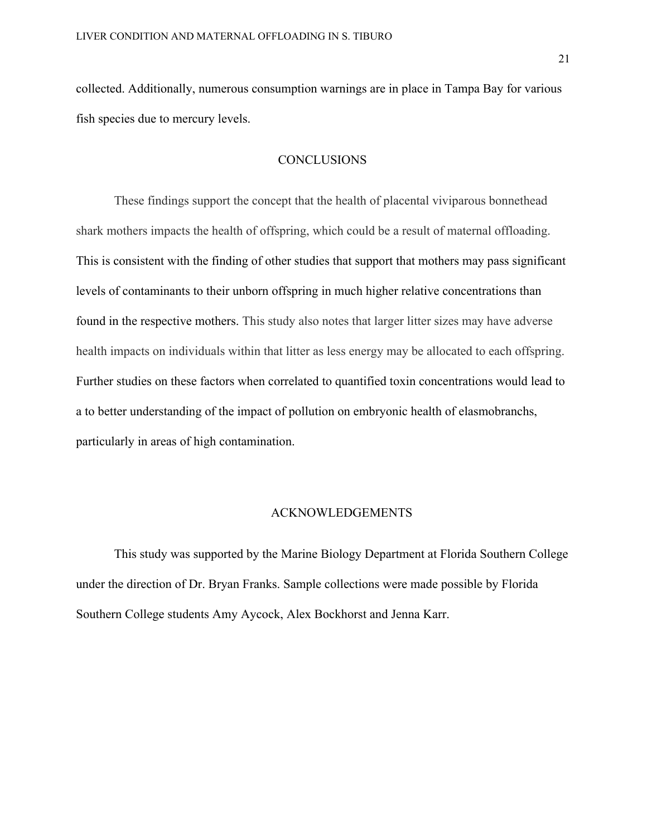collected. Additionally, numerous consumption warnings are in place in Tampa Bay for various fish species due to mercury levels.

### CONCLUSIONS

These findings support the concept that the health of placental viviparous bonnethead shark mothers impacts the health of offspring, which could be a result of maternal offloading. This is consistent with the finding of other studies that support that mothers may pass significant levels of contaminants to their unborn offspring in much higher relative concentrations than found in the respective mothers. This study also notes that larger litter sizes may have adverse health impacts on individuals within that litter as less energy may be allocated to each offspring. Further studies on these factors when correlated to quantified toxin concentrations would lead to a to better understanding of the impact of pollution on embryonic health of elasmobranchs, particularly in areas of high contamination.

### ACKNOWLEDGEMENTS

This study was supported by the Marine Biology Department at Florida Southern College under the direction of Dr. Bryan Franks. Sample collections were made possible by Florida Southern College students Amy Aycock, Alex Bockhorst and Jenna Karr.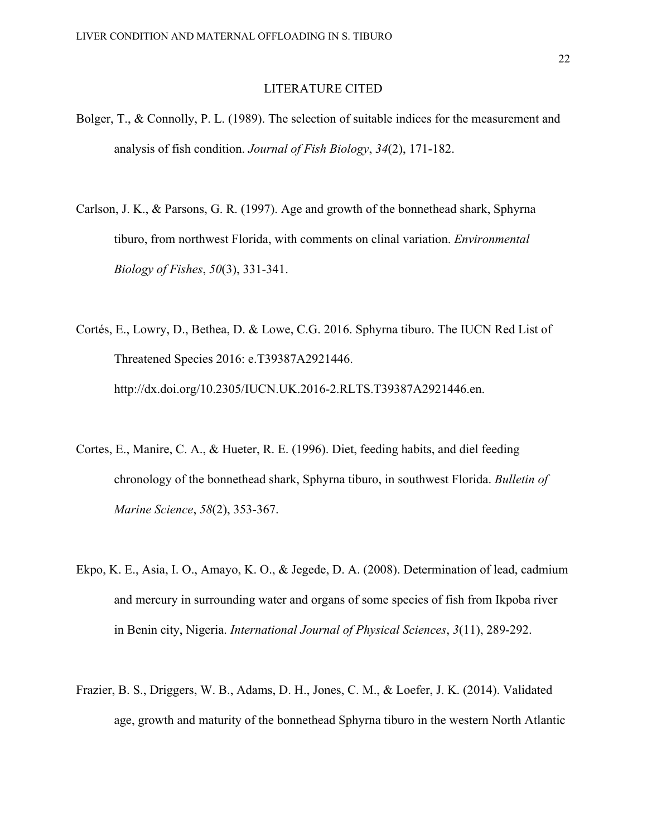### LITERATURE CITED

- Bolger, T., & Connolly, P. L. (1989). The selection of suitable indices for the measurement and analysis of fish condition. *Journal of Fish Biology*, *34*(2), 171-182.
- Carlson, J. K., & Parsons, G. R. (1997). Age and growth of the bonnethead shark, Sphyrna tiburo, from northwest Florida, with comments on clinal variation. *Environmental Biology of Fishes*, *50*(3), 331-341.
- Cortés, E., Lowry, D., Bethea, D. & Lowe, C.G. 2016. Sphyrna tiburo. The IUCN Red List of Threatened Species 2016: e.T39387A2921446. http://dx.doi.org/10.2305/IUCN.UK.2016-2.RLTS.T39387A2921446.en.
- Cortes, E., Manire, C. A., & Hueter, R. E. (1996). Diet, feeding habits, and diel feeding chronology of the bonnethead shark, Sphyrna tiburo, in southwest Florida. *Bulletin of Marine Science*, *58*(2), 353-367.
- Ekpo, K. E., Asia, I. O., Amayo, K. O., & Jegede, D. A. (2008). Determination of lead, cadmium and mercury in surrounding water and organs of some species of fish from Ikpoba river in Benin city, Nigeria. *International Journal of Physical Sciences*, *3*(11), 289-292.
- Frazier, B. S., Driggers, W. B., Adams, D. H., Jones, C. M., & Loefer, J. K. (2014). Validated age, growth and maturity of the bonnethead Sphyrna tiburo in the western North Atlantic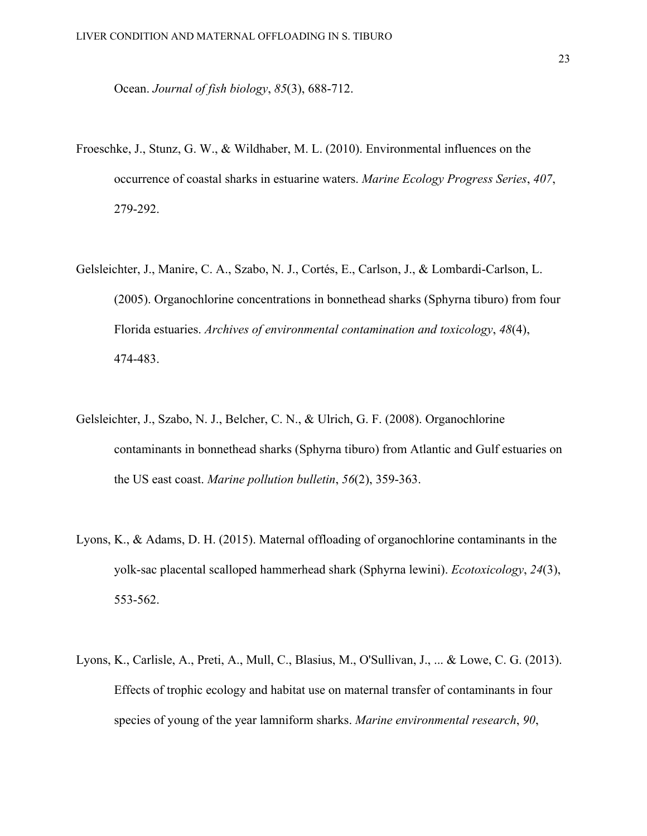Ocean. *Journal of fish biology*, *85*(3), 688-712.

- Froeschke, J., Stunz, G. W., & Wildhaber, M. L. (2010). Environmental influences on the occurrence of coastal sharks in estuarine waters. *Marine Ecology Progress Series*, *407*, 279-292.
- Gelsleichter, J., Manire, C. A., Szabo, N. J., Cortés, E., Carlson, J., & Lombardi-Carlson, L. (2005). Organochlorine concentrations in bonnethead sharks (Sphyrna tiburo) from four Florida estuaries. *Archives of environmental contamination and toxicology*, *48*(4), 474-483.
- Gelsleichter, J., Szabo, N. J., Belcher, C. N., & Ulrich, G. F. (2008). Organochlorine contaminants in bonnethead sharks (Sphyrna tiburo) from Atlantic and Gulf estuaries on the US east coast. *Marine pollution bulletin*, *56*(2), 359-363.
- Lyons, K., & Adams, D. H. (2015). Maternal offloading of organochlorine contaminants in the yolk-sac placental scalloped hammerhead shark (Sphyrna lewini). *Ecotoxicology*, *24*(3), 553-562.
- Lyons, K., Carlisle, A., Preti, A., Mull, C., Blasius, M., O'Sullivan, J., ... & Lowe, C. G. (2013). Effects of trophic ecology and habitat use on maternal transfer of contaminants in four species of young of the year lamniform sharks. *Marine environmental research*, *90*,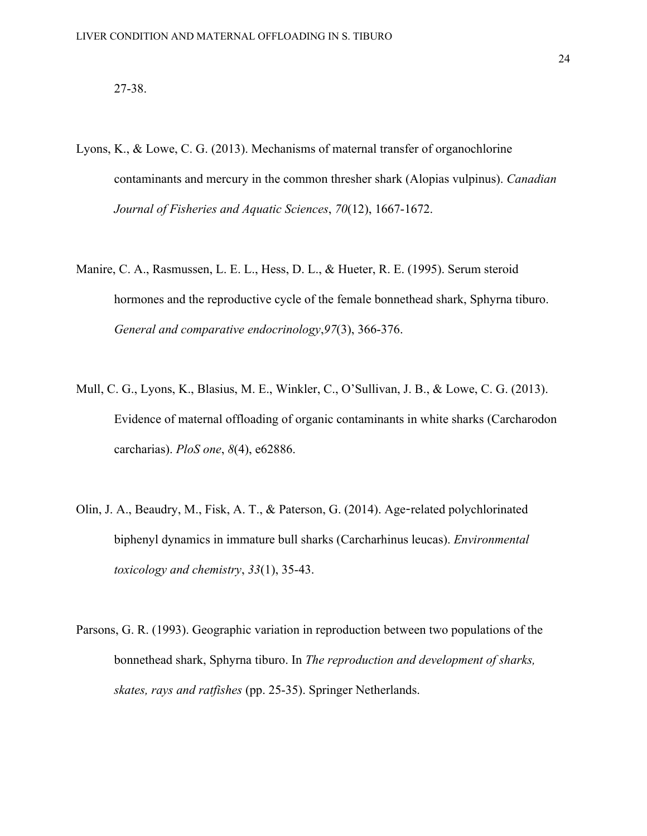## 27-38.

- Lyons, K., & Lowe, C. G. (2013). Mechanisms of maternal transfer of organochlorine contaminants and mercury in the common thresher shark (Alopias vulpinus). *Canadian Journal of Fisheries and Aquatic Sciences*, *70*(12), 1667-1672.
- Manire, C. A., Rasmussen, L. E. L., Hess, D. L., & Hueter, R. E. (1995). Serum steroid hormones and the reproductive cycle of the female bonnethead shark, Sphyrna tiburo. *General and comparative endocrinology*,*97*(3), 366-376.
- Mull, C. G., Lyons, K., Blasius, M. E., Winkler, C., O'Sullivan, J. B., & Lowe, C. G. (2013). Evidence of maternal offloading of organic contaminants in white sharks (Carcharodon carcharias). *PloS one*, *8*(4), e62886.
- Olin, J. A., Beaudry, M., Fisk, A. T., & Paterson, G. (2014). Age-related polychlorinated biphenyl dynamics in immature bull sharks (Carcharhinus leucas). *Environmental toxicology and chemistry*, *33*(1), 35-43.
- Parsons, G. R. (1993). Geographic variation in reproduction between two populations of the bonnethead shark, Sphyrna tiburo. In *The reproduction and development of sharks, skates, rays and ratfishes* (pp. 25-35). Springer Netherlands.